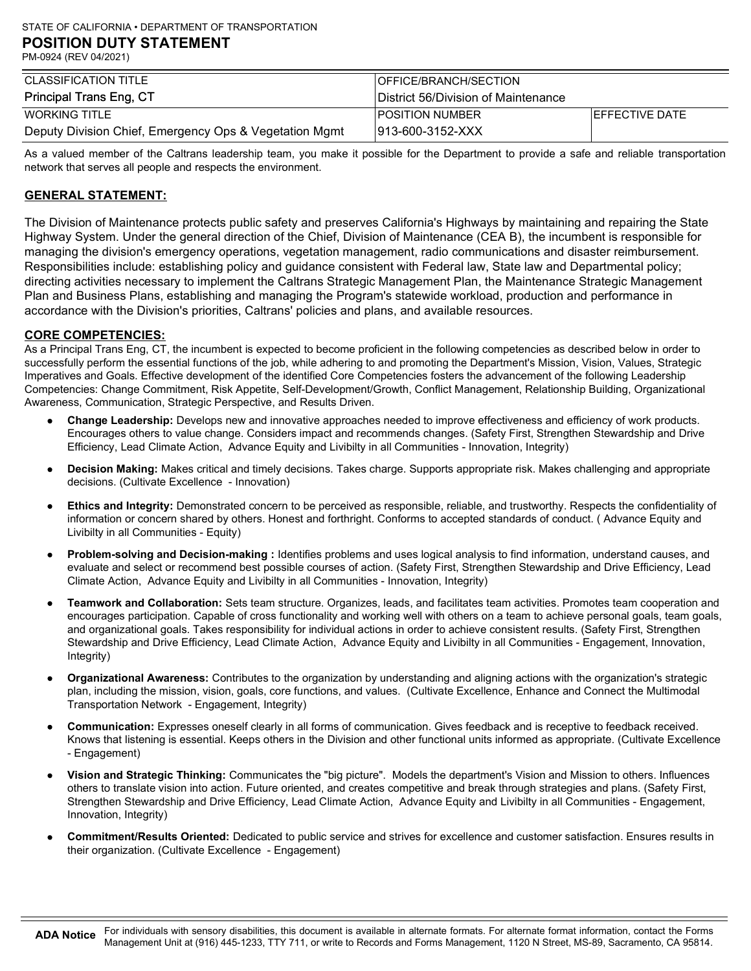| CLASSIFICATION TITLE                                   | <b>IOFFICE/BRANCH/SECTION</b>       |                        |
|--------------------------------------------------------|-------------------------------------|------------------------|
| Principal Trans Eng, CT                                | District 56/Division of Maintenance |                        |
| <b>WORKING TITLE</b>                                   | <b>IPOSITION NUMBER</b>             | <b>IEFFECTIVE DATE</b> |
| Deputy Division Chief, Emergency Ops & Vegetation Mgmt | 1913-600-3152-XXX                   |                        |

As a valued member of the Caltrans leadership team, you make it possible for the Department to provide a safe and reliable transportation network that serves all people and respects the environment.

# GENERAL STATEMENT:

The Division of Maintenance protects public safety and preserves California's Highways by maintaining and repairing the State Highway System. Under the general direction of the Chief, Division of Maintenance (CEA B), the incumbent is responsible for managing the division's emergency operations, vegetation management, radio communications and disaster reimbursement. Responsibilities include: establishing policy and guidance consistent with Federal law, State law and Departmental policy; directing activities necessary to implement the Caltrans Strategic Management Plan, the Maintenance Strategic Management Plan and Business Plans, establishing and managing the Program's statewide workload, production and performance in accordance with the Division's priorities, Caltrans' policies and plans, and available resources.

# CORE COMPETENCIES:

As a Principal Trans Eng, CT, the incumbent is expected to become proficient in the following competencies as described below in order to successfully perform the essential functions of the job, while adhering to and promoting the Department's Mission, Vision, Values, Strategic Imperatives and Goals. Effective development of the identified Core Competencies fosters the advancement of the following Leadership Competencies: Change Commitment, Risk Appetite, Self-Development/Growth, Conflict Management, Relationship Building, Organizational Awareness, Communication, Strategic Perspective, and Results Driven.

- Change Leadership: Develops new and innovative approaches needed to improve effectiveness and efficiency of work products. Encourages others to value change. Considers impact and recommends changes. (Safety First, Strengthen Stewardship and Drive Efficiency, Lead Climate Action, Advance Equity and Livibilty in all Communities - Innovation, Integrity)
- Decision Making: Makes critical and timely decisions. Takes charge. Supports appropriate risk. Makes challenging and appropriate decisions. (Cultivate Excellence - Innovation)
- Ethics and Integrity: Demonstrated concern to be perceived as responsible, reliable, and trustworthy. Respects the confidentiality of information or concern shared by others. Honest and forthright. Conforms to accepted standards of conduct. ( Advance Equity and Livibilty in all Communities - Equity)
- Problem-solving and Decision-making : Identifies problems and uses logical analysis to find information, understand causes, and evaluate and select or recommend best possible courses of action. (Safety First, Strengthen Stewardship and Drive Efficiency, Lead Climate Action, Advance Equity and Livibilty in all Communities - Innovation, Integrity)
- Teamwork and Collaboration: Sets team structure. Organizes, leads, and facilitates team activities. Promotes team cooperation and encourages participation. Capable of cross functionality and working well with others on a team to achieve personal goals, team goals, and organizational goals. Takes responsibility for individual actions in order to achieve consistent results. (Safety First, Strengthen Stewardship and Drive Efficiency, Lead Climate Action, Advance Equity and Livibilty in all Communities - Engagement, Innovation, Integrity)
- Organizational Awareness: Contributes to the organization by understanding and aligning actions with the organization's strategic plan, including the mission, vision, goals, core functions, and values. (Cultivate Excellence, Enhance and Connect the Multimodal Transportation Network - Engagement, Integrity)
- Communication: Expresses oneself clearly in all forms of communication. Gives feedback and is receptive to feedback received. Knows that listening is essential. Keeps others in the Division and other functional units informed as appropriate. (Cultivate Excellence - Engagement)
- Vision and Strategic Thinking: Communicates the "big picture". Models the department's Vision and Mission to others. Influences others to translate vision into action. Future oriented, and creates competitive and break through strategies and plans. (Safety First, Strengthen Stewardship and Drive Efficiency, Lead Climate Action, Advance Equity and Livibilty in all Communities - Engagement, Innovation, Integrity)
- Commitment/Results Oriented: Dedicated to public service and strives for excellence and customer satisfaction. Ensures results in their organization. (Cultivate Excellence - Engagement)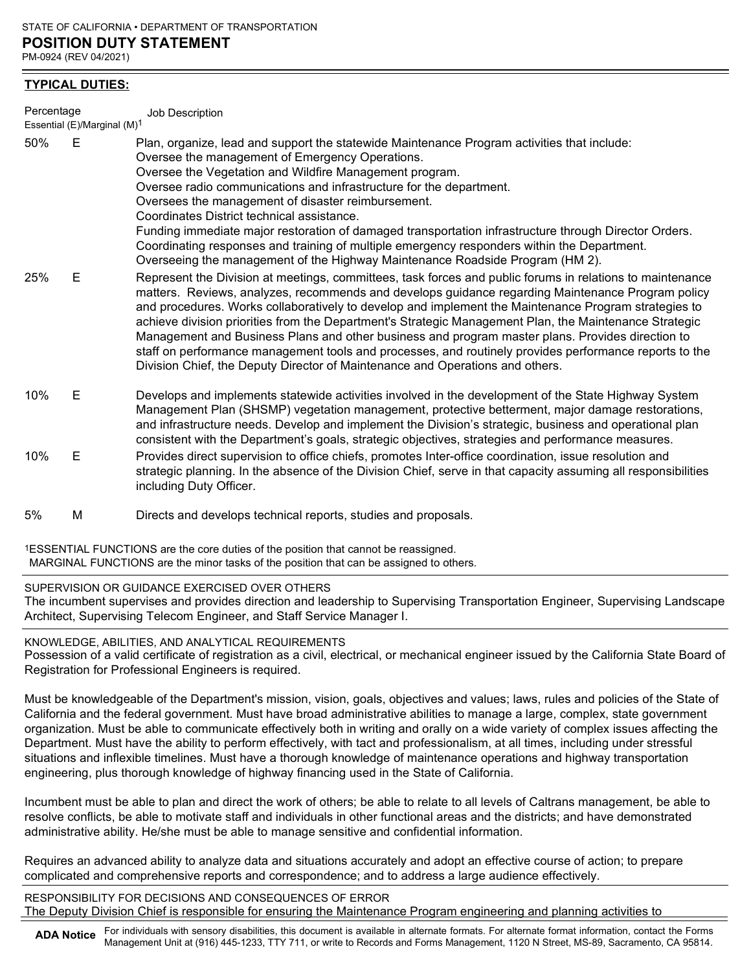## TYPICAL DUTIES:

| Percentage   |                                         | Job Description                                                                                                                                                                                                                                                                                                                                                                                                                                                                                                                                                                                                                                                                                                                 |
|--------------|-----------------------------------------|---------------------------------------------------------------------------------------------------------------------------------------------------------------------------------------------------------------------------------------------------------------------------------------------------------------------------------------------------------------------------------------------------------------------------------------------------------------------------------------------------------------------------------------------------------------------------------------------------------------------------------------------------------------------------------------------------------------------------------|
|              | Essential (E)/Marginal (M) <sup>1</sup> |                                                                                                                                                                                                                                                                                                                                                                                                                                                                                                                                                                                                                                                                                                                                 |
| 50%          | Е                                       | Plan, organize, lead and support the statewide Maintenance Program activities that include:<br>Oversee the management of Emergency Operations.<br>Oversee the Vegetation and Wildfire Management program.<br>Oversee radio communications and infrastructure for the department.<br>Oversees the management of disaster reimbursement.<br>Coordinates District technical assistance.<br>Funding immediate major restoration of damaged transportation infrastructure through Director Orders.<br>Coordinating responses and training of multiple emergency responders within the Department.<br>Overseeing the management of the Highway Maintenance Roadside Program (HM 2).                                                   |
| 25%          | Е                                       | Represent the Division at meetings, committees, task forces and public forums in relations to maintenance<br>matters. Reviews, analyzes, recommends and develops guidance regarding Maintenance Program policy<br>and procedures. Works collaboratively to develop and implement the Maintenance Program strategies to<br>achieve division priorities from the Department's Strategic Management Plan, the Maintenance Strategic<br>Management and Business Plans and other business and program master plans. Provides direction to<br>staff on performance management tools and processes, and routinely provides performance reports to the<br>Division Chief, the Deputy Director of Maintenance and Operations and others. |
| 10%          | E.                                      | Develops and implements statewide activities involved in the development of the State Highway System<br>Management Plan (SHSMP) vegetation management, protective betterment, major damage restorations,<br>and infrastructure needs. Develop and implement the Division's strategic, business and operational plan<br>consistent with the Department's goals, strategic objectives, strategies and performance measures.                                                                                                                                                                                                                                                                                                       |
| 10%          | Е                                       | Provides direct supervision to office chiefs, promotes Inter-office coordination, issue resolution and<br>strategic planning. In the absence of the Division Chief, serve in that capacity assuming all responsibilities<br>including Duty Officer.                                                                                                                                                                                                                                                                                                                                                                                                                                                                             |
| $F^{\prime}$ |                                         | Discute and developed to desired somewhat attributes and more could                                                                                                                                                                                                                                                                                                                                                                                                                                                                                                                                                                                                                                                             |

5% M Directs and develops technical reports, studies and proposals.

1ESSENTIAL FUNCTIONS are the core duties of the position that cannot be reassigned. MARGINAL FUNCTIONS are the minor tasks of the position that can be assigned to others.

## SUPERVISION OR GUIDANCE EXERCISED OVER OTHERS

The incumbent supervises and provides direction and leadership to Supervising Transportation Engineer, Supervising Landscape Architect, Supervising Telecom Engineer, and Staff Service Manager I.

# KNOWLEDGE, ABILITIES, AND ANALYTICAL REQUIREMENTS

Possession of a valid certificate of registration as a civil, electrical, or mechanical engineer issued by the California State Board of Registration for Professional Engineers is required.

Must be knowledgeable of the Department's mission, vision, goals, objectives and values; laws, rules and policies of the State of California and the federal government. Must have broad administrative abilities to manage a large, complex, state government organization. Must be able to communicate effectively both in writing and orally on a wide variety of complex issues affecting the Department. Must have the ability to perform effectively, with tact and professionalism, at all times, including under stressful situations and inflexible timelines. Must have a thorough knowledge of maintenance operations and highway transportation engineering, plus thorough knowledge of highway financing used in the State of California.

Incumbent must be able to plan and direct the work of others; be able to relate to all levels of Caltrans management, be able to resolve conflicts, be able to motivate staff and individuals in other functional areas and the districts; and have demonstrated administrative ability. He/she must be able to manage sensitive and confidential information.

Requires an advanced ability to analyze data and situations accurately and adopt an effective course of action; to prepare complicated and comprehensive reports and correspondence; and to address a large audience effectively.

RESPONSIBILITY FOR DECISIONS AND CONSEQUENCES OF ERROR The Deputy Division Chief is responsible for ensuring the Maintenance Program engineering and planning activities to

ADA Notice For individuals with sensory disabilities, this document is available in alternate formats. For alternate format information, contact the Forms Management Unit at (916) 445-1233, TTY 711, or write to Records and Forms Management, 1120 N Street, MS-89, Sacramento, CA 95814.